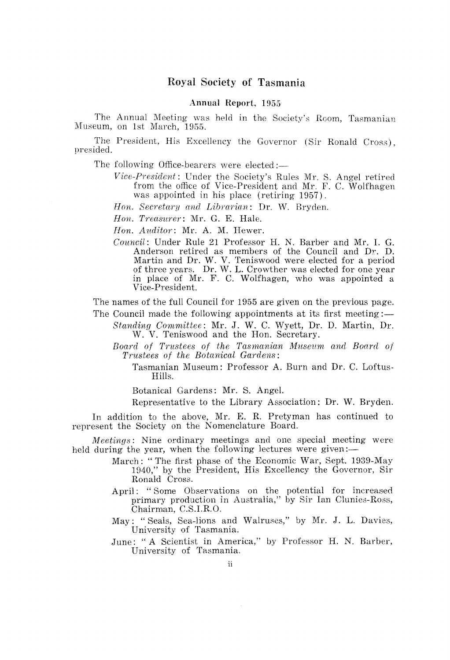## Royal Society of Tasmania

#### Annual Report, 1955

The Annual Meeting was held in the Society's Room, Tasmanian Museum, on 1st March, 1955.

The President, His Excellency the Governor (Sir Ronald Cross), presided.

The following Office-bearers were elected:—

*Vice-President:* Under the Society's Rules Mr. S. Angel retired from the office of Vice-President and Mr. F. C. Wolfhagen was appointed in his place (retiring 1957).

*Hon. Secretary and Libmriam:* Dr. W. Bryden.

*Hon. Treasurer*: Mr. G. E. Hale.

*Hon. Auditor:* Mr. A. M. Hewer.

*Council:* Under Rule 21 Professor H. N. Barber and Mr. I. G. Anderson retired as members of the Council and Dr. D. Martin and Dr. W. V. Teniswood were elected for a period of three years. Dr. W. L. Crowther was elected for one year in place of Mr. F. C. Wolfhagen, who was appointed a Vice-President.

The names of the full Council for 1955 are given on the previous page. The Council made the following appointments at its first meeting: $-$ 

*Standing Committee:* Mr. J. W. C. Wyett, Dr. D. Martin, Dr. W. V. Teniswood and the Hon. Secretary.

*Board of Trustees of the Tasmanian Museum and Board of Trustees of the Botanical Gardens:* 

Tasmanian Museum: Professor A. Burn and Dr. C. Loftus-Hills.

Botanical Gardens: Mr. S. Angel.

Representative to the Library Association: Dr. W. Bryden.

In addition to the above, Mr. E. R. Pretyman has continued to represent the Society on the Nomenclature Board.

*Meetings:* Nine ordinary meetings and one special meeting were held during the year, when the following lectures were given:-

- March: "The first phase of the Economic War, Sept. 1939-May 1940," by the President, His Excellency the Governor, Sir Ronald Cross.
- April: "Some Observations on the potential for increased primary production in Australia," by Sir Ian Clunies-Ross, Chairman, C.S.I.R.O.

May: "Seals, Sea-lions and Walruses," by Mr. J. L. Davies, University of Tasmania.

June: "A Scientist in America," by Professor H. N. Barber, University of Tasmania.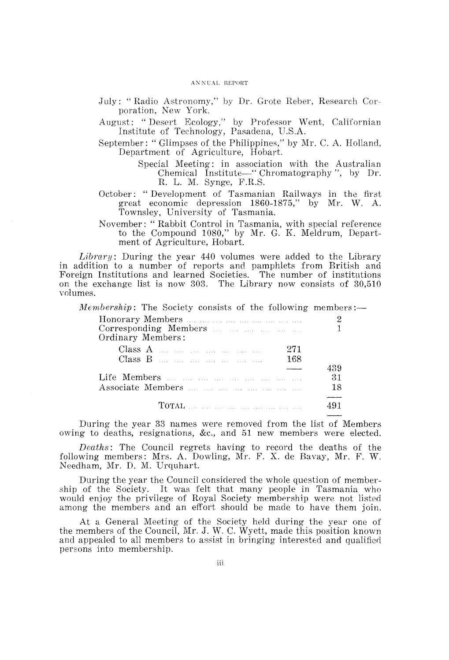#### ANNUAL REPORT

- July: "Radio Astronomy," by Dr. Grote Reber, Research Corporation, New York.
- August: "Desert Ecology," by Professor Went, Californian Institute of Technology, Pasadena, U.S.A.
- September: " Glimpses of the Philippines," by Mr. C. A. Holland, Department of Agriculture, Hobart.
	- Special Meeting: in association with the Australian Chemical Institute—" Chromatography", by Dr. R. L. M. Synge, F.R.S.
- October: "Development of Tasmanian Railways in the first great economic depression 1860-1875," by Mr. W. A. Townsley, University of Tasmania.
- November: " Rabbit Control in Tasmania, with special reference to the Compound 1080," by Mr. G. K. Meldrum, Department of Agriculture, Hobart.

*Library:* During the year 440 volumes were added to the Library in addition to a number of reports and pamphlets from British and Foreign Institutions and learned Societies. The number of institutions on the exchange list is now 303. The Library now consists of 30,510 volumes.

Membership: The Society consists of the following members:-

| Corresponding Members<br>Ordinary Members: |     |
|--------------------------------------------|-----|
| $Class A$<br>271                           |     |
| 168                                        |     |
|                                            | 439 |
|                                            | 31  |
|                                            | 18  |
|                                            |     |
|                                            |     |
|                                            |     |

During the year 33 names were removed from the list of Members owing to deaths, resignations, &c., and 51 new members were elected.

*Deaths:* The Council regrets having to record the deaths of the following members: Mrs. A. Dowling, Mr. F. X. de Bavay, Mr. F. W. Needham, Mr. D. M. Urquhart.

During the year the Council considered the whole question of membership of the Society. It was felt that many people in Tasmania who would enjoy the privilege of Royal Society membership were not listed among the members and an effort should be made to have them join.

At a General Meeting of the Society held during the year one of the members of the Council, Mr. J. W. C. Wyett, made this position known and appealed to all members to assist in bringing interested and qualified. persons into membership.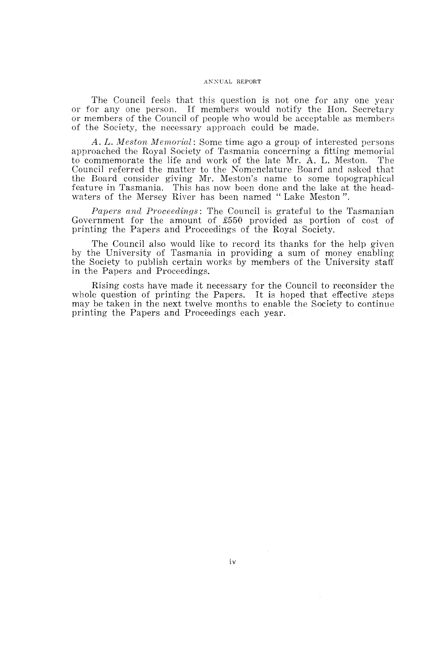#### ANNUAL REPORT

The Council feels that this question is not one for anyone year or for anyone person. If members would notify the Hon. Secretary or members of the Council of people who would be acceptable as members of the Society, the necessary approach could be made.

*A.* L. *M eston Memorial:* Some time ago a group of interested persons approached the Royal Society of Tasmania concerning a fitting memorial to commemorate the life and work of the late Mr. A. L. Meston. The Council referred the matter to the Nomenclature Board and asked that the Board consider giving Mr. Meston's name to some topographical feature in Tasmania. This has now been done and the lake at the headwaters of the Mersey River has been named" Lake Meston".

*Papers and Proceedings:* The Council is grateful to the Tasmanian Government for the amount of £550 provided as portion of cost of printing the Papers and Proceedings of the Royal Society.

The Council also would like to record its thanks for the help given by the University of Tasmania in providing a sum of money enabling the Society to publish certain works by members of the University staff in the Papers and Proceedings.

Rising costs have made it necessary for the Council to reconsider the whole question of printing the Papers. It is hoped that effective steps may be taken in the next twelve months to enable the Society to continue printing the Papers and Proceedings each year.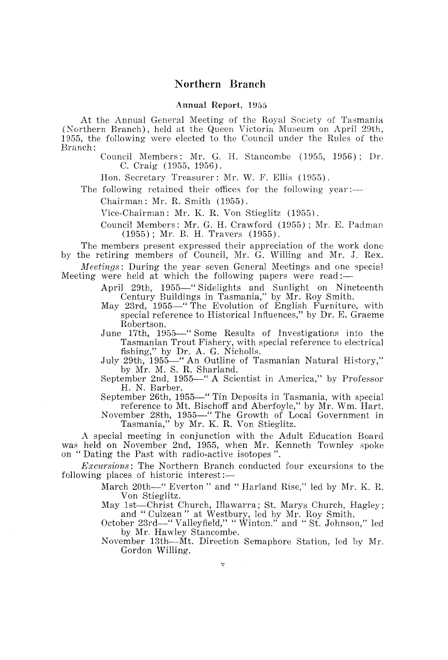# **Northern Branch**

#### Annual Report, 1955

At the Annual General Meeting of the Royal Society of Tasmania (Northern Branch), held at the Queen Victoria Museum on April 29th, 1955, the following were elected to the Council under the Rules of the Branch:

> Council Members: Mr. G. H. Stancombe (1955, 1956); Dr. C. Craig (1955, 1956).

Hon. Secretary/Treasurer: Mr. W. F. Ellis (1955).

The following retained their offices for the following year:-

Chairman: Mr. R. Smith (1955).

Vice-Chairman: Mr. K. R. Von Stieglitz (1955).

Council Members: Mr. G. H. Crawford (1955); Mr. E. Padman (1955) ; Mr. B. H. Travers (1955).

The members present expressed their appreciation of the work done by the retiring members of Council, Mr. G. Willing and Mr. J. Rex.

*Meetings:* During the year seven General Meetings and one special Meeting were held at which the following papers were read:-

> April 29th, 1955-" Sidelights and Sunlight on Nineteenth Century Buildings in Tasmania," by Mr. Roy Smith.

> May 23rd, 1955—" The Evolution of English Furniture, with special reference to Historical Influences," by Dr. E. Graeme Robertson.

> June 17th, 1955—" Some Results of Investigations into the Tasmanian Trout Fishery, with special reference to electrical fishing," by Dr. A. G. Nicholls.

> July 29th, 1955-" An Outline of Tasmanian Natural History," by Mr. M. S. R. Sharland.

> September 2nd, 1955-" A Scientist in America," by Professor H. N. Barber.

> September 26th, 1955-" Tin Deposits in Tasmania, with special reference to Mt. Bischoff and Aberfoyle," by Mr. Wm. Hart.

> November 28th, 1955-" The Growth of Local Government in Tasmania," by Mr. K. R. Von Stieglitz.

A special meeting in conjunction with the Adult Education Board was held on November 2nd, 1955, when Mr. Kenneth Townley spoke on " Dating the Past with radio-active isotopes ".

*Excursions:* The Northern Branch conducted four excursions to the following places of historic interest:-

> March 20th-" Everton" and "Harland Rise," led by Mr. K. R. Von Stieglitz.

> May 1st-Christ Church, Illawarra; St. Marys Church, Hagley; and" Culzean" at Westbury, led by Mr. Roy Smith.

> October 23rd-" Valleyfield," "Winton." and" St. Johnson," led by Mr. Hawley Stancombe.

> November 13th-Mt. Direction Semaphore Station, led by Mr. Gordon Willing.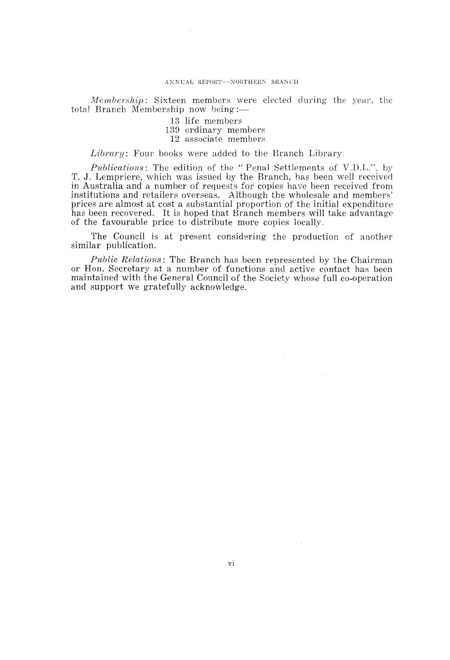#### ANNUAL REPORT-NORTHERN BRANCH

*Membership:* Sixteen members were elected during the year, the total Branch Membership now being: $-$ 

13 life members

- 139 ordinary members
- 12 associate members

*Library:* Four books were added to the Branch Library,

*Publications:* The edition of the" Penal Settlements of V.D.L.", by T. J. Lempriere, which was issued by the Branch, has been well received in Australia and a number of requests for copies have been received from institutions and retailers overseas. Although the wholesale and members' prices are almost at cost a substantial proportion of the initial expenditure has been recovered. It is hoped that Branch members will take advantage of the favourable price to distribute more copies locally.

The Council is at present considering the production of another similar publication.

*Public Relations:* The Branch has been represented by the Chairman or Hon. Secretary at a number of functions and active contact has been maintained with the General Council of the Society whose full co-operation and support we gratefully acknowledge.